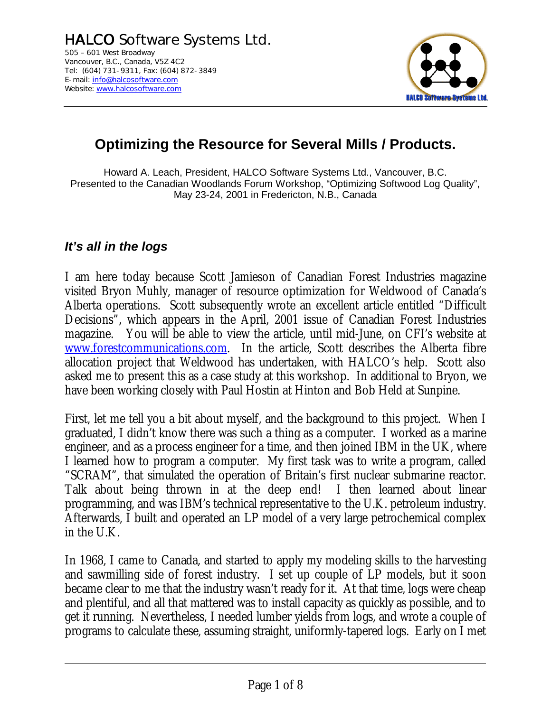

# **Optimizing the Resource for Several Mills / Products.**

Howard A. Leach, President, HALCO Software Systems Ltd., Vancouver, B.C. Presented to the Canadian Woodlands Forum Workshop, "Optimizing Softwood Log Quality", May 23-24, 2001 in Fredericton, N.B., Canada

## *It's all in the logs*

I am here today because Scott Jamieson of Canadian Forest Industries magazine visited Bryon Muhly, manager of resource optimization for Weldwood of Canada's Alberta operations. Scott subsequently wrote an excellent article entitled "Difficult Decisions", which appears in the April, 2001 issue of Canadian Forest Industries magazine. You will be able to view the article, until mid-June, on CFI's website at www.forestcommunications.com. In the article, Scott describes the Alberta fibre allocation project that Weldwood has undertaken, with HALCO's help. Scott also asked me to present this as a case study at this workshop. In additional to Bryon, we have been working closely with Paul Hostin at Hinton and Bob Held at Sunpine.

First, let me tell you a bit about myself, and the background to this project. When I graduated, I didn't know there was such a thing as a computer. I worked as a marine engineer, and as a process engineer for a time, and then joined IBM in the UK, where I learned how to program a computer. My first task was to write a program, called "SCRAM", that simulated the operation of Britain's first nuclear submarine reactor. Talk about being thrown in at the deep end! I then learned about linear programming, and was IBM's technical representative to the U.K. petroleum industry. Afterwards, I built and operated an LP model of a very large petrochemical complex in the U.K.

In 1968, I came to Canada, and started to apply my modeling skills to the harvesting and sawmilling side of forest industry. I set up couple of LP models, but it soon became clear to me that the industry wasn't ready for it. At that time, logs were cheap and plentiful, and all that mattered was to install capacity as quickly as possible, and to get it running. Nevertheless, I needed lumber yields from logs, and wrote a couple of programs to calculate these, assuming straight, uniformly-tapered logs. Early on I met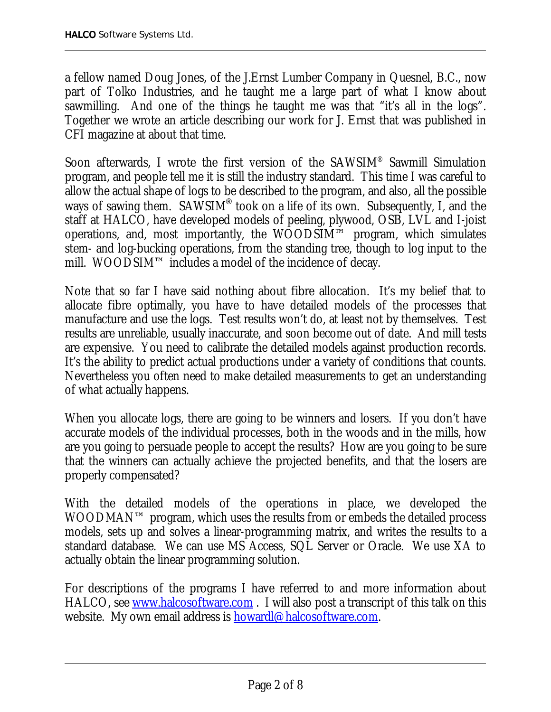a fellow named Doug Jones, of the J.Ernst Lumber Company in Quesnel, B.C., now part of Tolko Industries, and he taught me a large part of what I know about sawmilling. And one of the things he taught me was that "it's all in the logs". Together we wrote an article describing our work for J. Ernst that was published in CFI magazine at about that time.

Soon afterwards, I wrote the first version of the SAWSIM® Sawmill Simulation program, and people tell me it is still the industry standard. This time I was careful to allow the actual shape of logs to be described to the program, and also, all the possible ways of sawing them. SAWSIM<sup>®</sup> took on a life of its own. Subsequently, I, and the staff at HALCO, have developed models of peeling, plywood, OSB, LVL and I-joist operations, and, most importantly, the WOODSIM™ program, which simulates stem- and log-bucking operations, from the standing tree, though to log input to the mill. WOODSIM™ includes a model of the incidence of decay.

Note that so far I have said nothing about fibre allocation. It's my belief that to allocate fibre optimally, you have to have detailed models of the processes that manufacture and use the logs. Test results won't do, at least not by themselves. Test results are unreliable, usually inaccurate, and soon become out of date. And mill tests are expensive. You need to calibrate the detailed models against production records. It's the ability to predict actual productions under a variety of conditions that counts. Nevertheless you often need to make detailed measurements to get an understanding of what actually happens.

When you allocate logs, there are going to be winners and losers. If you don't have accurate models of the individual processes, both in the woods and in the mills, how are you going to persuade people to accept the results? How are you going to be sure that the winners can actually achieve the projected benefits, and that the losers are properly compensated?

With the detailed models of the operations in place, we developed the WOODMAN™ program, which uses the results from or embeds the detailed process models, sets up and solves a linear-programming matrix, and writes the results to a standard database. We can use MS Access, SQL Server or Oracle. We use XA to actually obtain the linear programming solution.

For descriptions of the programs I have referred to and more information about HALCO, see www.halcosoftware.com . I will also post a transcript of this talk on this website. My own email address is **howardl@halcosoftware.com**.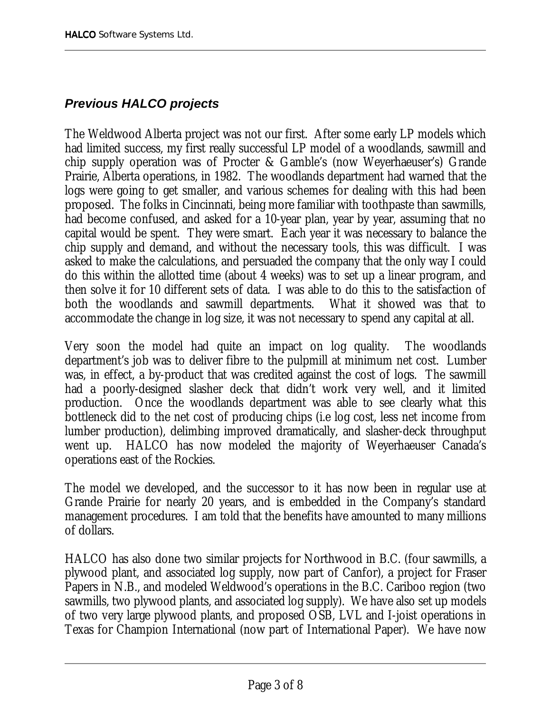# *Previous HALCO projects*

The Weldwood Alberta project was not our first. After some early LP models which had limited success, my first really successful LP model of a woodlands, sawmill and chip supply operation was of Procter & Gamble's (now Weyerhaeuser's) Grande Prairie, Alberta operations, in 1982. The woodlands department had warned that the logs were going to get smaller, and various schemes for dealing with this had been proposed. The folks in Cincinnati, being more familiar with toothpaste than sawmills, had become confused, and asked for a 10-year plan, year by year, assuming that no capital would be spent. They were smart. Each year it was necessary to balance the chip supply and demand, and without the necessary tools, this was difficult. I was asked to make the calculations, and persuaded the company that the only way I could do this within the allotted time (about 4 weeks) was to set up a linear program, and then solve it for 10 different sets of data. I was able to do this to the satisfaction of both the woodlands and sawmill departments. What it showed was that to accommodate the change in log size, it was not necessary to spend any capital at all.

Very soon the model had quite an impact on log quality. The woodlands department's job was to deliver fibre to the pulpmill at minimum net cost. Lumber was, in effect, a by-product that was credited against the cost of logs. The sawmill had a poorly-designed slasher deck that didn't work very well, and it limited production. Once the woodlands department was able to see clearly what this bottleneck did to the net cost of producing chips (i.e log cost, less net income from lumber production), delimbing improved dramatically, and slasher-deck throughput went up. HALCO has now modeled the majority of Weyerhaeuser Canada's operations east of the Rockies.

The model we developed, and the successor to it has now been in regular use at Grande Prairie for nearly 20 years, and is embedded in the Company's standard management procedures. I am told that the benefits have amounted to many millions of dollars.

HALCO has also done two similar projects for Northwood in B.C. (four sawmills, a plywood plant, and associated log supply, now part of Canfor), a project for Fraser Papers in N.B., and modeled Weldwood's operations in the B.C. Cariboo region (two sawmills, two plywood plants, and associated log supply). We have also set up models of two very large plywood plants, and proposed OSB, LVL and I-joist operations in Texas for Champion International (now part of International Paper). We have now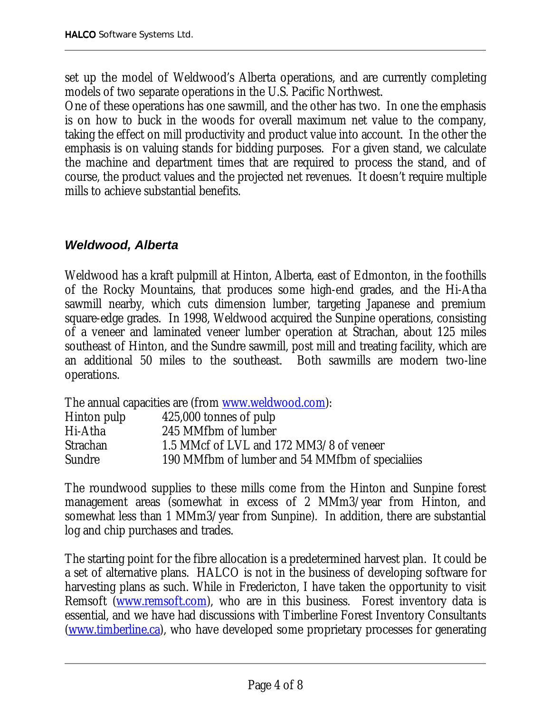set up the model of Weldwood's Alberta operations, and are currently completing models of two separate operations in the U.S. Pacific Northwest.

One of these operations has one sawmill, and the other has two. In one the emphasis is on how to buck in the woods for overall maximum net value to the company, taking the effect on mill productivity and product value into account. In the other the emphasis is on valuing stands for bidding purposes. For a given stand, we calculate the machine and department times that are required to process the stand, and of course, the product values and the projected net revenues. It doesn't require multiple mills to achieve substantial benefits.

#### *Weldwood, Alberta*

Weldwood has a kraft pulpmill at Hinton, Alberta, east of Edmonton, in the foothills of the Rocky Mountains, that produces some high-end grades, and the Hi-Atha sawmill nearby, which cuts dimension lumber, targeting Japanese and premium square-edge grades. In 1998, Weldwood acquired the Sunpine operations, consisting of a veneer and laminated veneer lumber operation at Strachan, about 125 miles southeast of Hinton, and the Sundre sawmill, post mill and treating facility, which are an additional 50 miles to the southeast. Both sawmills are modern two-line operations.

The annual capacities are (from www.weldwood.com):

| Hinton pulp     | 425,000 tonnes of pulp                          |
|-----------------|-------------------------------------------------|
| Hi-Atha         | 245 MMfbm of lumber                             |
| <b>Strachan</b> | 1.5 MMcf of LVL and 172 MM3/8 of veneer         |
| <b>Sundre</b>   | 190 MMfbm of lumber and 54 MMfbm of specialiies |

The roundwood supplies to these mills come from the Hinton and Sunpine forest management areas (somewhat in excess of 2 MMm3/year from Hinton, and somewhat less than 1 MMm3/year from Sunpine). In addition, there are substantial log and chip purchases and trades.

The starting point for the fibre allocation is a predetermined harvest plan. It could be a set of alternative plans. HALCO is not in the business of developing software for harvesting plans as such. While in Fredericton, I have taken the opportunity to visit Remsoft (www.remsoft.com), who are in this business. Forest inventory data is essential, and we have had discussions with Timberline Forest Inventory Consultants (www.timberline.ca), who have developed some proprietary processes for generating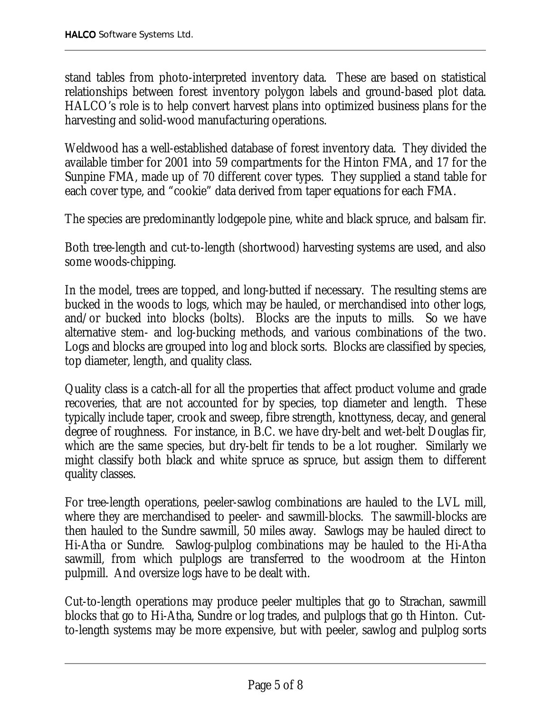stand tables from photo-interpreted inventory data. These are based on statistical relationships between forest inventory polygon labels and ground-based plot data. HALCO's role is to help convert harvest plans into optimized business plans for the harvesting and solid-wood manufacturing operations.

Weldwood has a well-established database of forest inventory data. They divided the available timber for 2001 into 59 compartments for the Hinton FMA, and 17 for the Sunpine FMA, made up of 70 different cover types. They supplied a stand table for each cover type, and "cookie" data derived from taper equations for each FMA.

The species are predominantly lodgepole pine, white and black spruce, and balsam fir.

Both tree-length and cut-to-length (shortwood) harvesting systems are used, and also some woods-chipping.

In the model, trees are topped, and long-butted if necessary. The resulting stems are bucked in the woods to logs, which may be hauled, or merchandised into other logs, and/or bucked into blocks (bolts). Blocks are the inputs to mills. So we have alternative stem- and log-bucking methods, and various combinations of the two. Logs and blocks are grouped into log and block sorts. Blocks are classified by species, top diameter, length, and quality class.

Quality class is a catch-all for all the properties that affect product volume and grade recoveries, that are not accounted for by species, top diameter and length. These typically include taper, crook and sweep, fibre strength, knottyness, decay, and general degree of roughness. For instance, in B.C. we have dry-belt and wet-belt Douglas fir, which are the same species, but dry-belt fir tends to be a lot rougher. Similarly we might classify both black and white spruce as spruce, but assign them to different quality classes.

For tree-length operations, peeler-sawlog combinations are hauled to the LVL mill, where they are merchandised to peeler- and sawmill-blocks. The sawmill-blocks are then hauled to the Sundre sawmill, 50 miles away. Sawlogs may be hauled direct to Hi-Atha or Sundre. Sawlog-pulplog combinations may be hauled to the Hi-Atha sawmill, from which pulplogs are transferred to the woodroom at the Hinton pulpmill. And oversize logs have to be dealt with.

Cut-to-length operations may produce peeler multiples that go to Strachan, sawmill blocks that go to Hi-Atha, Sundre or log trades, and pulplogs that go th Hinton. Cutto-length systems may be more expensive, but with peeler, sawlog and pulplog sorts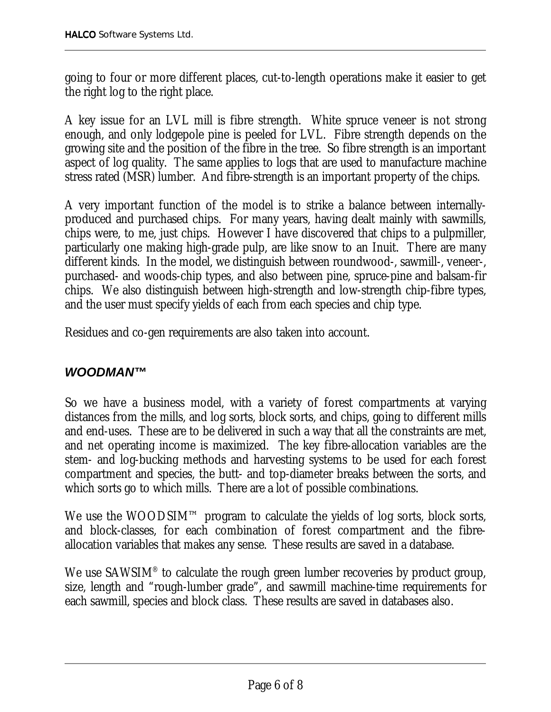going to four or more different places, cut-to-length operations make it easier to get the right log to the right place.

A key issue for an LVL mill is fibre strength. White spruce veneer is not strong enough, and only lodgepole pine is peeled for LVL. Fibre strength depends on the growing site and the position of the fibre in the tree. So fibre strength is an important aspect of log quality. The same applies to logs that are used to manufacture machine stress rated (MSR) lumber. And fibre-strength is an important property of the chips.

A very important function of the model is to strike a balance between internallyproduced and purchased chips. For many years, having dealt mainly with sawmills, chips were, to me, just chips. However I have discovered that chips to a pulpmiller, particularly one making high-grade pulp, are like snow to an Inuit. There are many different kinds. In the model, we distinguish between roundwood-, sawmill-, veneer-, purchased- and woods-chip types, and also between pine, spruce-pine and balsam-fir chips. We also distinguish between high-strength and low-strength chip-fibre types, and the user must specify yields of each from each species and chip type.

Residues and co-gen requirements are also taken into account.

### *WOODMAN™*

So we have a business model, with a variety of forest compartments at varying distances from the mills, and log sorts, block sorts, and chips, going to different mills and end-uses. These are to be delivered in such a way that all the constraints are met, and net operating income is maximized. The key fibre-allocation variables are the stem- and log-bucking methods and harvesting systems to be used for each forest compartment and species, the butt- and top-diameter breaks between the sorts, and which sorts go to which mills. There are a lot of possible combinations.

We use the WOODSIM™ program to calculate the yields of log sorts, block sorts, and block-classes, for each combination of forest compartment and the fibreallocation variables that makes any sense. These results are saved in a database.

We use SAWSIM<sup>®</sup> to calculate the rough green lumber recoveries by product group, size, length and "rough-lumber grade", and sawmill machine-time requirements for each sawmill, species and block class. These results are saved in databases also.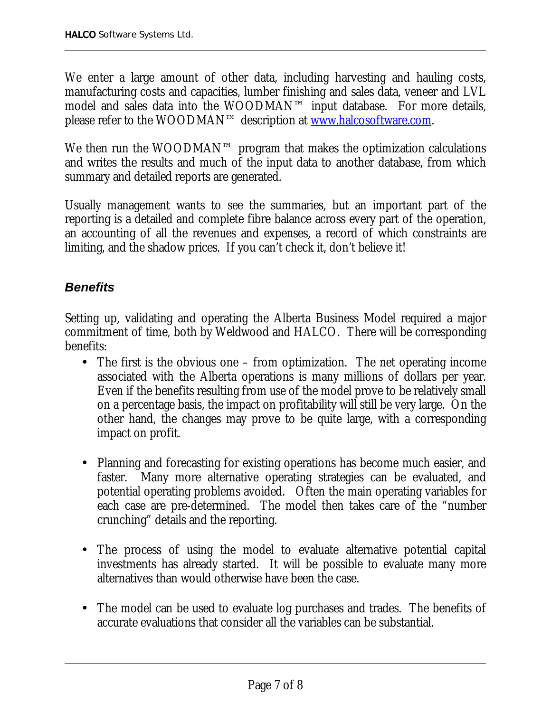We enter a large amount of other data, including harvesting and hauling costs, manufacturing costs and capacities, lumber finishing and sales data, veneer and LVL model and sales data into the WOODMAN™ input database. For more details, please refer to the WOODMAN™ description at www.halcosoftware.com.

We then run the WOODMAN™ program that makes the optimization calculations and writes the results and much of the input data to another database, from which summary and detailed reports are generated.

Usually management wants to see the summaries, but an important part of the reporting is a detailed and complete fibre balance across every part of the operation, an accounting of all the revenues and expenses, a record of which constraints are limiting, and the shadow prices. If you can't check it, don't believe it!

# *Benefits*

Setting up, validating and operating the Alberta Business Model required a major commitment of time, both by Weldwood and HALCO. There will be corresponding benefits:

- The first is the obvious one from optimization. The net operating income associated with the Alberta operations is many millions of dollars per year. Even if the benefits resulting from use of the model prove to be relatively small on a percentage basis, the impact on profitability will still be very large. On the other hand, the changes may prove to be quite large, with a corresponding impact on profit.
- Planning and forecasting for existing operations has become much easier, and faster. Many more alternative operating strategies can be evaluated, and potential operating problems avoided. Often the main operating variables for each case are pre-determined. The model then takes care of the "number crunching" details and the reporting.
- The process of using the model to evaluate alternative potential capital investments has already started. It will be possible to evaluate many more alternatives than would otherwise have been the case.
- The model can be used to evaluate log purchases and trades. The benefits of accurate evaluations that consider all the variables can be substantial.